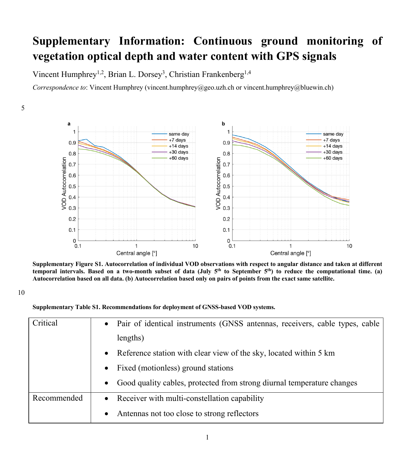## **Supplementary Information: Continuous ground monitoring of vegetation optical depth and water content with GPS signals**

Vincent Humphrey<sup>1,2</sup>, Brian L. Dorsey<sup>3</sup>, Christian Frankenberg<sup>1,4</sup>

*Correspondence to*: Vincent Humphrey (vincent.humphrey@geo.uzh.ch or vincent.humphrey@bluewin.ch)

5



**Supplementary Figure S1. Autocorrelation of individual VOD observations with respect to angular distance and taken at different temporal intervals. Based on a two-month subset of data (July 5th to September 5th) to reduce the computational time. (a) Autocorrelation based on all data. (b) Autocorrelation based only on pairs of points from the exact same satellite.**

10

**Supplementary Table S1. Recommendations for deployment of GNSS-based VOD systems.**

| Critical    | • Pair of identical instruments (GNSS antennas, receivers, cable types, cable       |
|-------------|-------------------------------------------------------------------------------------|
|             | lengths)                                                                            |
|             | Reference station with clear view of the sky, located within 5 km<br>$\bullet$      |
|             | Fixed (motionless) ground stations<br>$\bullet$                                     |
|             | Good quality cables, protected from strong diurnal temperature changes<br>$\bullet$ |
| Recommended | Receiver with multi-constellation capability<br>$\bullet$                           |
|             | Antennas not too close to strong reflectors<br>$\bullet$                            |